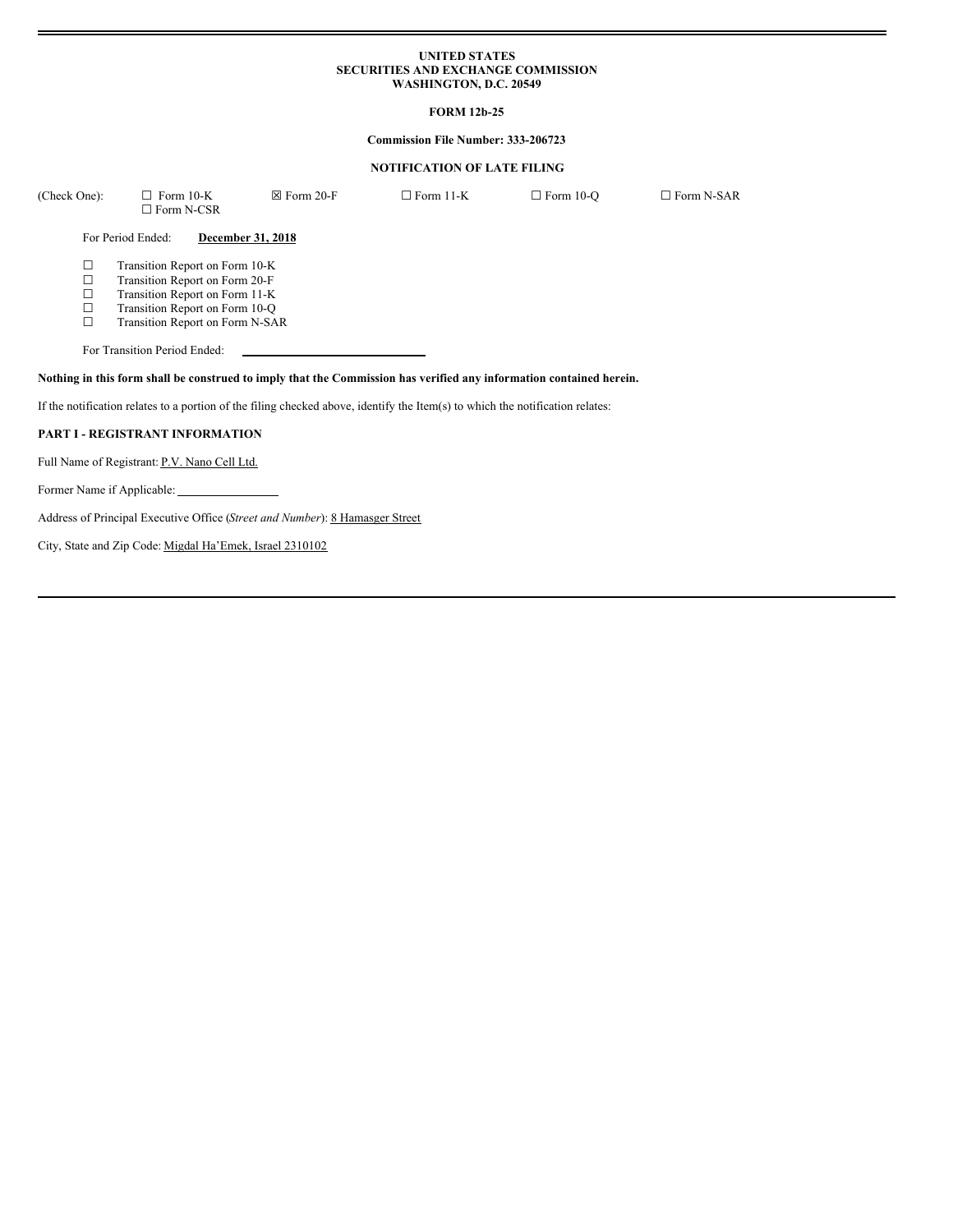#### **UNITED STATES SECURITIES AND EXCHANGE COMMISSION WASHINGTON, D.C. 20549**

# **FORM 12b-25**

## **Commission File Number: 333-206723**

### **NOTIFICATION OF LATE FILING**

| (Check One):               | $\Box$ Form 10-K<br>$\Box$ Form N-CSR                                                                                                                                   | $\boxtimes$ Form 20-F                                                        | $\Box$ Form 11-K                                                                                                              | $\Box$ Form 10-Q | $\Box$ Form N-SAR |
|----------------------------|-------------------------------------------------------------------------------------------------------------------------------------------------------------------------|------------------------------------------------------------------------------|-------------------------------------------------------------------------------------------------------------------------------|------------------|-------------------|
|                            | For Period Ended:                                                                                                                                                       | December 31, 2018                                                            |                                                                                                                               |                  |                   |
| ⊔<br>□<br>□<br>□<br>$\Box$ | Transition Report on Form 10-K<br>Transition Report on Form 20-F<br>Transition Report on Form 11-K<br>Transition Report on Form 10-Q<br>Transition Report on Form N-SAR |                                                                              |                                                                                                                               |                  |                   |
|                            | For Transition Period Ended:                                                                                                                                            |                                                                              |                                                                                                                               |                  |                   |
|                            |                                                                                                                                                                         |                                                                              | Nothing in this form shall be construed to imply that the Commission has verified any information contained herein.           |                  |                   |
|                            |                                                                                                                                                                         |                                                                              | If the notification relates to a portion of the filing checked above, identify the Item(s) to which the notification relates: |                  |                   |
|                            | PART I - REGISTRANT INFORMATION                                                                                                                                         |                                                                              |                                                                                                                               |                  |                   |
|                            | Full Name of Registrant: P.V. Nano Cell Ltd.                                                                                                                            |                                                                              |                                                                                                                               |                  |                   |
|                            |                                                                                                                                                                         |                                                                              |                                                                                                                               |                  |                   |
|                            |                                                                                                                                                                         | Address of Principal Executive Office (Street and Number): 8 Hamasger Street |                                                                                                                               |                  |                   |
|                            | City, State and Zip Code: Migdal Ha'Emek, Israel 2310102                                                                                                                |                                                                              |                                                                                                                               |                  |                   |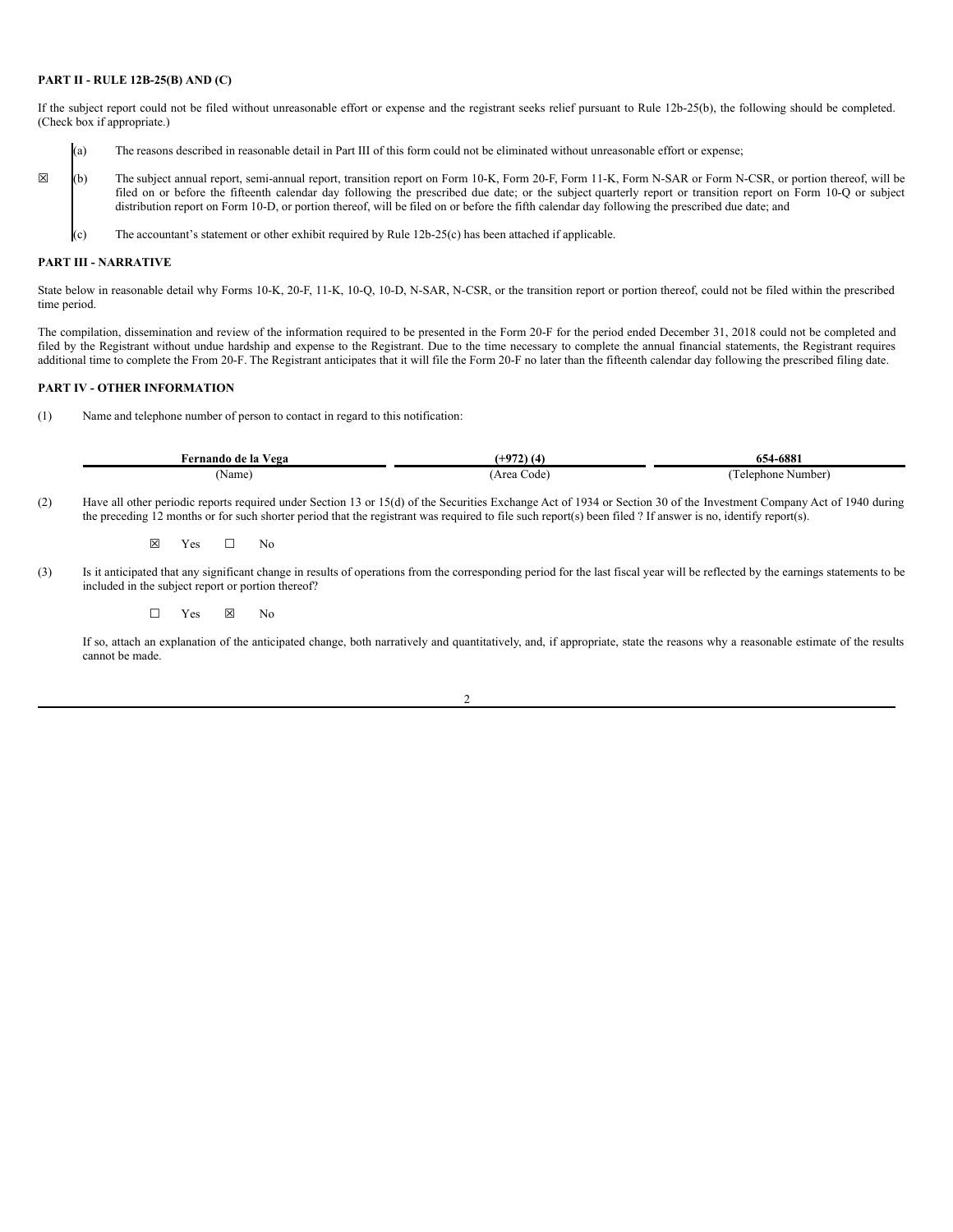### **PART II - RULE 12B-25(B) AND (C)**

If the subject report could not be filed without unreasonable effort or expense and the registrant seeks relief pursuant to Rule 12b-25(b), the following should be completed. (Check box if appropriate.)

- (a) The reasons described in reasonable detail in Part III of this form could not be eliminated without unreasonable effort or expense;
- ☒ (b) The subject annual report, semi-annual report, transition report on Form 10-K, Form 20-F, Form 11-K, Form N-SAR or Form N-CSR, or portion thereof, will be filed on or before the fifteenth calendar day following the prescribed due date; or the subject quarterly report or transition report on Form 10-Q or subject distribution report on Form 10-D, or portion thereof, will be filed on or before the fifth calendar day following the prescribed due date; and
	- (c) The accountant's statement or other exhibit required by Rule 12b-25(c) has been attached if applicable.

#### **PART III - NARRATIVE**

State below in reasonable detail why Forms 10-K, 20-F, 11-K, 10-Q, 10-D, N-SAR, N-CSR, or the transition report or portion thereof, could not be filed within the prescribed time period.

The compilation, dissemination and review of the information required to be presented in the Form 20-F for the period ended December 31, 2018 could not be completed and filed by the Registrant without undue hardship and expense to the Registrant. Due to the time necessary to complete the annual financial statements, the Registrant requires additional time to complete the From 20-F. The Registrant anticipates that it will file the Form 20-F no later than the fifteenth calendar day following the prescribed filing date.

## **PART IV - OTHER INFORMATION**

(1) Name and telephone number of person to contact in regard to this notification:

| Fernando de la Vega                                                                                                                                                  |             | 654-6881          |
|----------------------------------------------------------------------------------------------------------------------------------------------------------------------|-------------|-------------------|
| 'Name                                                                                                                                                                | (Area Code) | Telephone Number) |
| Have all other periodic reports required under Section 13 or 15(d) of the Securities Exchange Act of 1934 or Section 30 of the Investment Company Act of 1940 during |             |                   |

(2) Have all other periodic reports required under Section 13 or 15(d) of the Securities Exchange Act of 1934 or Section 30 of the Inve the preceding 12 months or for such shorter period that the registrant was required to file such report(s) been filed ? If answer is no, identify report(s).

☒ Yes ☐ No

(3) Is it anticipated that any significant change in results of operations from the corresponding period for the last fiscal year will be reflected by the earnings statements to be included in the subject report or portion thereof?

☐ Yes ☒ No

If so, attach an explanation of the anticipated change, both narratively and quantitatively, and, if appropriate, state the reasons why a reasonable estimate of the results cannot be made.